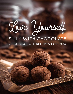

## SILLY WITH CHOCOLATE 20 CHOCOLATE RECIPES FOR YOU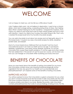# WELCOME

I am so happy to meet you. Let me tell you a little about myself.

I don't believe diets work. I do not believe in deprivation. I used to be a chronic dieter, which led to binge eating, overeating during times of stress, then feeling tired. When I started training for my first marathon, I stopped the madness. Now, I teach my clients to eat foods that work for their unique bodies and how to eat with intention. I teach my clients how to enjoy the sweet things in life. That's why I created this recipe book full of my favorite chocolate recipes.

You can add chocolate to just about any recipe and not feel guilty about it. In this recipe book, I've given you easy chocolate recipes for drinks, breakfast, protein balls, and dessert.

Most of us have heard since childhood that we shouldn't eat too much chocolate because it can harm our teeth and as we age, it can lead to diabetes, hypertension, and other chronic illnesses. However, it is not the chocolate that causes these health problems: it's all the sugar and other nasties that are added into it. The secret is to opt for pure raw cacao. Let me show you how you can indulge on chocolate while nourishing your body and soul!

## BENEFITS OF CHOCOLATE

Have you ever heard about the benefits of eating chocolate? Do you know that chocolate contains some very important pharmacologically active ingredients that are very good for our health such as anandamide and phenylethylamine? Let's explore some of the benefits of eating chocolates.

### IMPROVES MOOD

You will be surprised to know that chocolate is a great companion for you when you are in a bad mood because the flavonoids in dark chocolates are the ones that have a positive influence on the stressors in our mind. It immediately helps to reduce anxiety and stress in our body. Besides flavonoids, dark chocolate contains phenylethylamine that works to arouse feelings of being in love. For this

> ©2018 beFITbeFAB LLC | Love Yourself Silly With Chocolate These statements have not been evaluated by the Food and Drug Administration. This is not intended to diagnose, treat, cure, or prevent any disease.

 $\mathcal{D}$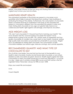reason, chocolate is known as the love drug and sharing them with someone is a great way to show your love for others.

#### MAINTAINS HEART HEALTH

The antioxidant properties of flavonoids are present in chocolate in rich quantities which helps to prevent the blood from clotting. It also facilitates in protecting the lining of the arteries. Furthermore, the consumption of chocolate doesn't increase the level of cholesterol in the body as the saturated fats present in chocolate is different from the saturated fats present in dairy and meat. Eating dark chocolate at any age can greatly help improve our cardiovascular health, fight against cell damage, and improve circulation.

### AIDS WEIGHT LOSS

"Oh, don't eat chocolate! It's the junk food that is harming your health!" We have all been told this, however eating chocolate that doesn't have preservatives is going to be your BFF. Yes, certain types of sweetened and lowquality chocolates or candies may cause harm to your health. However, eating high-quality dark chocolate can provide tons of benefits to your body. Weight loss is accelerated by eating dark chocolate. The consumption of dark chocolate stabilizes your blood sugar, reduces cravings, and controls appetite.

## RECOMMENDED QUANTITY AND WHAT TYPE OF CHOCOLATE TO EAT

Out of all the chocolates, the one that has the most of the benefits to your health is dark chocolate. Godiva & Lindt brand dark chocolate, or any others labeled as dark chocolate are great. However, Health experts agree that daily consumption of dark chocolate should be no more than 30g-60g or 1-2 ounces in a day. Make sure it contains at least 80% cacao and that cacao is the first ingredient listed. Personally I always for 90% or even 100%

Enjoy your sweet life and recipes!

Love,

Coach StephB

Here are your healthy chocolate recipes.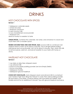## DRINKS

## HOT CHOCOLATE WITH SPICES

#### **Serves 1**

1 tablespoon coriander seeds 1 whole star anise 1 teaspoon cinnamon 2 cups coconut milk ⅛ cup unsweetened cocoa powder 1 teaspoon rum stevia or honey to sweeten to taste

**CRUSH SPICES.** Combine the coriander, star anise, and cinnamon in a bowl and crush them with a wooden spoon.

**WARM COCONUT MILK AND ADD SPICES. Add** coconut milk to a small pot over medium heat to warm up for about 3 minutes. Turn it off right before boiling. Add spices and cocoa powder. Let it sit for about 5 minutes. Then, strain the milk to remove spices, add rum, and serve! Sweeten to your taste with honey or stevia.

## HAZELNUT HOT CHOCOLATE

#### **Serves 2**

1 cup dairy or dairy-free whipped cream 1 cup almond milk ½ pack of chocolate pudding powder (we love Simply Delish) 1-ounce chocolate 1 tablespoon Nutella 1 tablespoon ground hazelnuts

**COOK HOT CHOCOLATE.** Add whipped cream and almond milk to a small pot over medium-high heat. Bring the mixture to a boil, then add pudding powder. Stir and add in chocolate. Continue stirring until chocolate has melted. Add Nutella and stir for an additional 3 minutes. Top with ground hazelnuts and serve.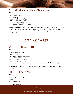## WHIPPED CREAM CHOCOLATE COFFEE **Serves 1**

1 cup coconut milk ½ cup of water 2 teaspoons instant coffee 1-ounce white chocolate 1 tablespoon vanilla extract dairy or dairy-free whipped cream

**WARM INGREDIENTS.** Heat coconut milk, water, coffee, and chocolate in a small pot over medium heat. Melt chocolate but be sure not to allow milk to boil. Turn off heat and let the mixture cool. Add vanilla and stir. Top with whipped cream before serving.

## BREAKFASTS

## KALE-CHOCO SMOOTHIE

#### **Serves 1**

1½ cups dairy-free milk 1 handful kale 1 cup fresh or frozen blueberries 1 tablespoon coconut oil pinch of cinnamon powder 2 tablespoons raw cacao 1 tablespoon raw, organic honey or 1 teaspoon stevia to taste (optional)

**BLEND INGREDIENTS.** Add all ingredients to a high-speed blender and blend until smooth.

## CHOCO-BERRY SMOOTHIE

#### **Serves 1**

1½ cups dairy-free milk 1 banana ½ cup raspberries 1 cup spinach ½ cup blueberries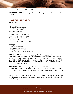1 tablespoon cocoa or raw cacao

**BLEND INGREDIENTS.** Add all ingredients to a high-speed blender and blend until smooth.

### PUMPKIN PANCAKES

**Serves 4 to 6**

6 large eggs ⅔ cup pure pumpkin purée 2 tablespoons honey  $\frac{1}{2}$  cup almond flour ½ cup coconut flour 1½ teaspoons baking powder 1 tablespoon pumpkin pie spice ⅓ cup dairy-free chocolate chips ⅛ teaspoon salt 3 tablespoons coconut oil, divided

#### **Toppings:**

1 banana, thinly sliced ⅓ cup pecans, chopped sprinkling of dairy-free chocolate chips drizzle of real maple syrup (optional)

**PREPARE BATTER.** In a large mixing bowl, whisk the eggs, pumpkin purée, and honey until thoroughly combined. In a separate bowl, combine the almond flour, coconut flour, baking powder, pumpkin pie spice, chocolate chips, and salt. Add the dry ingredients to the bowl with the egg mixture and gently fold the two together until blended. Heat one tablespoon coconut oil in a large griddle over medium heat.

**COOK PANCAKES.** When the griddle is hot, spoon 2 to 3 tablespoons per pancake and cook for 3 minutes on the first side, then flip and cook for another 2 to 3 minutes on the other side. Repeat this process with remaining coconut oil and pancake batter.

**TOP PANCAKES AND SERVE.** To serve, stack 2 to 3 pancakes per serving and top with sliced bananas, pecans, chocolate chips, and a drizzle of maple syrup, if desired. Enjoy!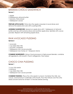## BANANA-CHOCO SANDWHICH

#### **Serves 1**

#### 1 apple 2 tablespoons almond butter 1 banana, thinly sliced 1 tablespoon cacao

**PREPARE APPLE SLICES.** Thinly slice the apple crosswise in round slices and remove the seeds and core with a paring knife.

**ASSEMBLE SANDWICHES.** Spread an apple slice with 1 tablespoon of almond butter and top with banana slices and another apple slice. Sprinkle with cacao powder. Repeat with remaining apple slices.

## RAW AVOCADO PUDDING

#### **Serves 2**

- 1 avocado
- 1 cup dairy-free milk
- 1 zucchini, chopped
- 1 tablespoon raw cacao powder
- 1 tablespoon raw honey or 1 teaspoon stevia

**COMBINE INGREDIENTS.** Using a food processor or high-power blender, combine all ingredients until smooth. Cool in refrigerator, then enjoy!

## CHOCO CHIA PUDDING

#### **Serves 1**

¼ cup chia seeds ½ banana 1 cup dairy-free milk 1 tablespoon raw cacao powder

**COMBINE PUDDING.** Place the chia seeds in a bowl. Combine the milk, raw cacao, and banana in a blender until smooth. Pour the mixture over the chia seeds and let stand for at least 15 minutes before serving.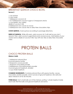### BREAKFAST QUINOA CHOCO BOWL **Serves 2**

1 cup quinoa 2 cups water 1 tablespoon coconut oil 1 to 2 tablespoons coconut sugar or 2 teaspoons stevia ½ cup berries, any variety drizzle of coconut milk 2 tablespoons raw cacao or cocoa 2 tablespoons raw cacao nibs or dairy-free chocolate chips

**COOK QUINOA.** Cook quinoa according to package directions.

**DRESS UP QUINOA.** While still warm, add coconut oil. It will melt as you mix it around. Then, add coconut sugar/stevia and cacao/cocoa. Add berries of your choice and a drizzle of coconut milk. Top with raw nibs or dairy-free chocolate chips.

## PROTEIN BALLS

## CHOCO PROTEIN BALLS

#### **Makes 6 balls**

1 tablespoon almond flour

- 8 ounces peanut butter
- 2 teaspoons cacao powder
- 1 teaspoon chocolate powder
- 2 tablespoons chocolate protein powder
- 4 ounces ground hazelnuts, divided
- ½ cup whole hazelnuts

**COMBINE INGREDIENTS.** Combine almond flour with peanut butter, cacao, chocolate, protein powder, and 2 ounces of ground hazelnuts. Mix well and allow mixture to sit for 30 minutes.

**FORM BALLS.** Form small balls out of the mixture, putting 1 whole hazelnut inside each ball. Roll the balls over ground hazelnuts and serve.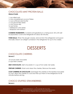## CHOCOLATE-MINT PROTEIN BALLS

#### **Makes 8 balls**

1 cup rolled oats ½ cup unsweetened coconut flakes ½ cup sunflower seed butter ½ cup ground flax seeds ½ cup cacao nibs ⅓ cup honey 1 tablespoon chia seeds 1 teaspoon mint extract

**COMBINE INGREDIENTS.** Combine all ingredients in a mixing bowl. Stir until well incorporated. Cover and refrigerate for about 30 minutes.

**FORM BALLS.** When the dough is ready, remove from the refrigerator and spoon into balls. Store in an airtight container in the refrigerator for up to two weeks.

## DESSERTS

## CHOCOLATE CHERRIES

#### **Serves 2**

10 ounces dark chocolate 2 cups fresh cherries

**MELT CHOCOLATE.** Melt chocolate in ½ cup of hot water. Set aside.

**PREPARE CHERRIES.** Wash and clean the cherries. Remove the seeds.

**COAT CHERRIES IN CHOCOLATE.** Submerge the cherries in the heated chocolate to coat. Allow the cherries to cool and then put them in the refrigerator for 30 minutes before serving.

## CHOCO STUFFED STRAWBERRIES

**Serves 6**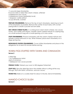1½ pounds large strawberries 8 ounces dairy or dairy-free cream cheese, softened 4 tablespoons raw cacao 3 tablespoons honey (preferably local) 1 teaspoon vanilla extract ⅓ cup almonds, crushed

**PREPARE STRAWBERRIES.** Remove the top of each strawberry, reserving as much of the strawberry as possible. Remove the center of each berry with a small paring knife to create a pocket and set aside.

**MIX CREAM CHEESE FILLING.** In a mixing bowl, beat cream cheese, raw cacao, honey, and vanilla until creamy. Transfer cream cheese mixture to a piping bag or a small sandwich bag with a small opening cut in one corner.

**STUFF STRAWBERRIES.** Fill each strawberry with the cream cheese mixture and sprinkle crushed almonds on top. When finished, place each strawberry on a large serving tray.

**REFRIGERATE STUFFED STRAWBERRIES.** Cover stuffed strawberries and place in the refrigerator for at least 30 minutes before serving.

## WARM FIGS STUFFED WITH TAHINI AND CINNAMON

#### **Serves 2**

6 dried figs 1 to 2 tablespoons tahini dash of cinnamon 1 tablespoon raw cacao powder

**PREHEAT OVEN.** Preheat your oven to 350 degrees Fahrenheit.

**STUFF FIGS.** Slice the dried figs down the middle without cutting all the way through. Stuff with tahini, cinnamon, and raw cacao.

**WARM FIGS.** Bake on a cookie sheet for about 5 minutes. Serve immediately.

## MANGO-CHOCO SLUSH

**Serves 4**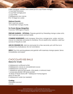2 ripe mangoes, peeled and cubed (or 2½ cups frozen mango) ¼ cup fresh lime juice ¾ cup fresh orange juice ½ cup water 2 tablespoons raw cacao 8 to 10 large ice cubes

#### **Optional Garnish:**

fresh rosemary spears 12 small fresh mango chunks

#### **For Frozen Mango Margaritas:**

4 ounces 100% agave tequila

**PREPARE GARNISH - OPTIONAL.** Prepare garnish by threading mango cubes onto fresh rosemary spears and set aside.

**COMBINE INGREDIENTS.** Add mangoes, lime juice, orange juice, water, and raw cacao to a blender and pulse to combine. For an adults-only variation, add four ounces of tequila as well.

**ADD IN CRUSHED ICE.** Add ice and pulse for a few seconds, just until the ice is crushed into small pieces. Do not over-blend.

**SERVE.** Pour into serving glasses and garnish with rosemary-mango spears. Serve immediately and enjoy!

### CHOCOLATE KISS BALLS

#### **Makes 8 to 12 balls**

6 tablespoons sunflower butter 4 tablespoons cacao or unsweetened cocoa 2 tablespoons coconut oil 1 tablespoon ground flax seeds, chia seeds, or almond meal 1 scoop pea protein OR hemp protein 15 drops of liquid stevia OR 1 tablespoon honey/agave pinch of sea salt 6 tablespoons water (as needed)

#### **Coating:**

shredded coconut cacao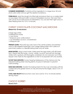**COMBINE INGREDIENTS.** Combine all the ingredients in a large bowl. Stir and slowly add water until you get the desired consistency.

**FORM BALLS.** Mold the dough into little balls and place them on a cookie sheet or wax paper. Roll each ball in a bowl of shredded coconut, then dust them with cacao for an extra boost of antioxidants. You can eat them right away or after freezing them for 10 to 15 minutes.

## CHEWY CHOCOLATE-COCONUT MACAROONS

#### **Makes 8 to 10 macaroons**

2 large egg whites 3 tablespoons honey  $\frac{1}{2}$  cup cacao 1 teaspoon pure vanilla extract 1 cup shredded coconut, unsweetened ¼ teaspoon salt

**PREHEAT OVEN.** Place the top oven rack in the center position and preheat oven to 350 degrees Fahrenheit. Line a large baking sheet with a piece of parchment paper or a Silpat® baking sheet and set aside.

**MAKE BATTER.** Using a hand mixer, briskly beat the egg whites until stiff peaks form. Gently fold the honey, cacao, vanilla, coconut, and salt into the egg whites with a spatula until thoroughly combined. Do not overwork, but it may require a few folds for the ingredients to start to incorporate with one another.

**SCOOP MACAROONS.** Scoop heaping tablespoons of the mixture onto the prepared baking sheet, leaving plenty of space in between to prevent overcrowding.

**BAKE MACAROONS.** Transfer the baking sheet into the oven and bake until the cookies become golden brown on top and around the edges, about 12 to 14 minutes.

**COOL AND ENJOY!** Remove from oven and cool for 10 to 15 minutes before serving. Enjoy!

### CHOCO SORBET

**Serves 3 to 4**